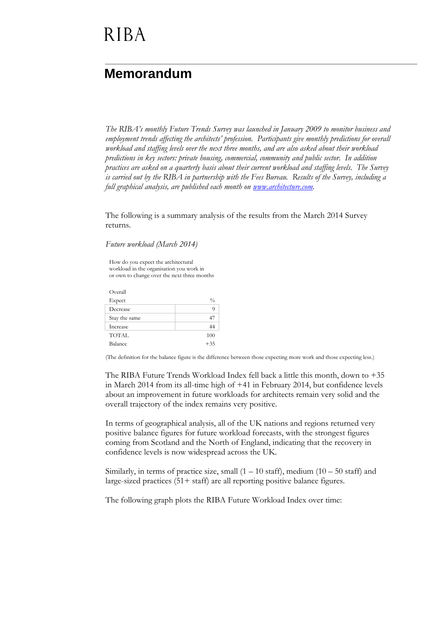# **RIBA**

#### **Memorandum**

*The RIBA's monthly Future Trends Survey was launched in January 2009 to monitor business and employment trends affecting the architects' profession. Participants give monthly predictions for overall workload and staffing levels over the next three months, and are also asked about their workload predictions in key sectors: private housing, commercial, community and public sector. In addition practices are asked on a quarterly basis about their current workload and staffing levels. The Survey is carried out by the RIBA in partnership with the Fees Bureau. Results of the Survey, including a full graphical analysis, are published each month on [www.architecture.com.](http://www.architecture.com/)*

The following is a summary analysis of the results from the March 2014 Survey returns.

*Future workload (March 2014)*

How do you expect the architectural workload in the organisation you work in or own to change over the next three months

Overall  $\mathbf{Expected}$   $\%$ Decrease 9 Stay the same 47 Increase 44 TOTAL 100 Balance  $+35$ 

(The definition for the balance figure is the difference between those expecting more work and those expecting less.)

The RIBA Future Trends Workload Index fell back a little this month, down to  $+35$ in March 2014 from its all-time high of +41 in February 2014, but confidence levels about an improvement in future workloads for architects remain very solid and the overall trajectory of the index remains very positive.

In terms of geographical analysis, all of the UK nations and regions returned very positive balance figures for future workload forecasts, with the strongest figures coming from Scotland and the North of England, indicating that the recovery in confidence levels is now widespread across the UK.

Similarly, in terms of practice size, small  $(1 - 10 \text{ staff})$ , medium  $(10 - 50 \text{ staff})$  and large-sized practices (51+ staff) are all reporting positive balance figures.

The following graph plots the RIBA Future Workload Index over time: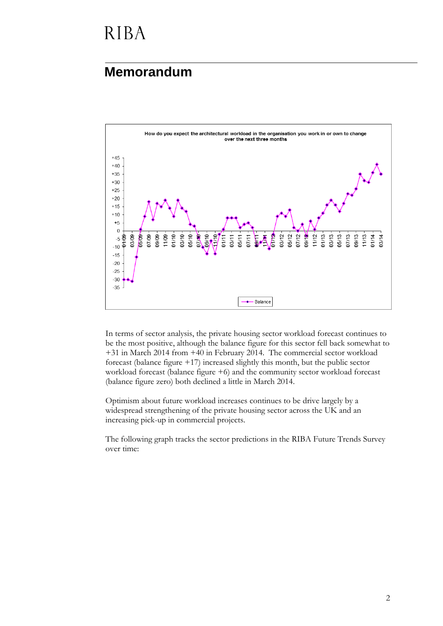# **RIBA**

#### **Memorandum**



In terms of sector analysis, the private housing sector workload forecast continues to be the most positive, although the balance figure for this sector fell back somewhat to +31 in March 2014 from +40 in February 2014. The commercial sector workload forecast (balance figure +17) increased slightly this month, but the public sector workload forecast (balance figure +6) and the community sector workload forecast (balance figure zero) both declined a little in March 2014.

Optimism about future workload increases continues to be drive largely by a widespread strengthening of the private housing sector across the UK and an increasing pick-up in commercial projects.

The following graph tracks the sector predictions in the RIBA Future Trends Survey over time: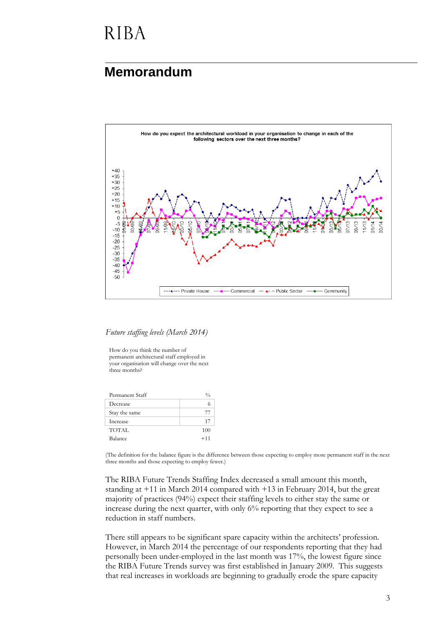### **RIBA**

#### **Memorandum**



*Future staffing levels (March 2014)*

How do you think the number of permanent architectural staff employed in your organisation will change over the next three months?

| 77    |
|-------|
| 17    |
| 100   |
| $+11$ |
|       |

(The definition for the balance figure is the difference between those expecting to employ more permanent staff in the next three months and those expecting to employ fewer.)

The RIBA Future Trends Staffing Index decreased a small amount this month, standing at +11 in March 2014 compared with +13 in February 2014, but the great majority of practices (94%) expect their staffing levels to either stay the same or increase during the next quarter, with only 6% reporting that they expect to see a reduction in staff numbers.

There still appears to be significant spare capacity within the architects' profession. However, in March 2014 the percentage of our respondents reporting that they had personally been under-employed in the last month was 17%, the lowest figure since the RIBA Future Trends survey was first established in January 2009. This suggests that real increases in workloads are beginning to gradually erode the spare capacity